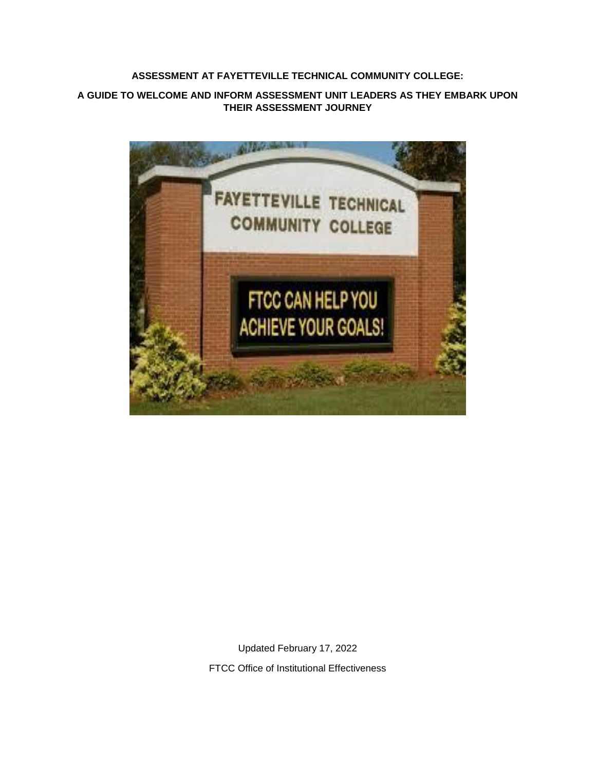# **ASSESSMENT AT FAYETTEVILLE TECHNICAL COMMUNITY COLLEGE:**

## **A GUIDE TO WELCOME AND INFORM ASSESSMENT UNIT LEADERS AS THEY EMBARK UPON THEIR ASSESSMENT JOURNEY**



Updated February 17, 2022 FTCC Office of Institutional Effectiveness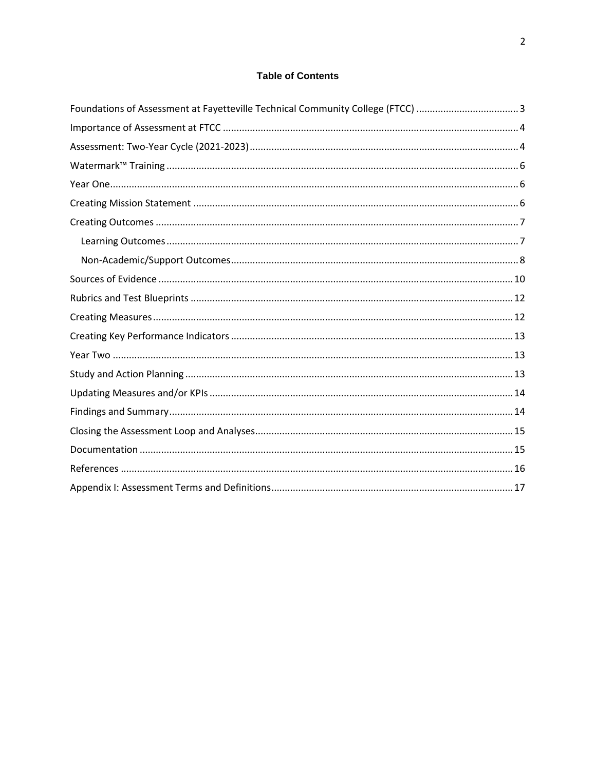# **Table of Contents**

| Foundations of Assessment at Fayetteville Technical Community College (FTCC) 3 |
|--------------------------------------------------------------------------------|
|                                                                                |
|                                                                                |
|                                                                                |
|                                                                                |
|                                                                                |
|                                                                                |
|                                                                                |
|                                                                                |
|                                                                                |
|                                                                                |
|                                                                                |
|                                                                                |
|                                                                                |
|                                                                                |
|                                                                                |
|                                                                                |
|                                                                                |
|                                                                                |
|                                                                                |
|                                                                                |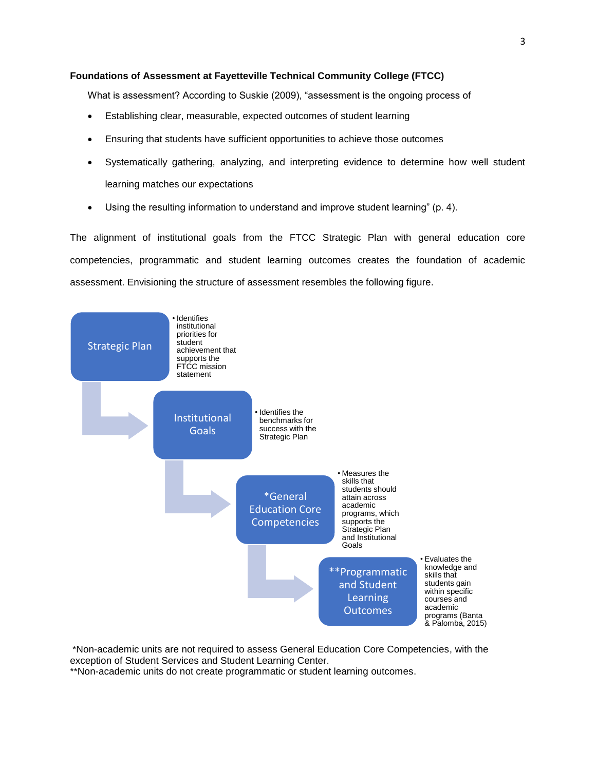### <span id="page-2-0"></span>**Foundations of Assessment at Fayetteville Technical Community College (FTCC)**

What is assessment? According to Suskie (2009), "assessment is the ongoing process of

- Establishing clear, measurable, expected outcomes of student learning
- Ensuring that students have sufficient opportunities to achieve those outcomes
- Systematically gathering, analyzing, and interpreting evidence to determine how well student learning matches our expectations
- Using the resulting information to understand and improve student learning" (p. 4).

The alignment of institutional goals from the FTCC Strategic Plan with general education core competencies, programmatic and student learning outcomes creates the foundation of academic assessment. Envisioning the structure of assessment resembles the following figure.



\*Non-academic units are not required to assess General Education Core Competencies, with the exception of Student Services and Student Learning Center.

\*\*Non-academic units do not create programmatic or student learning outcomes.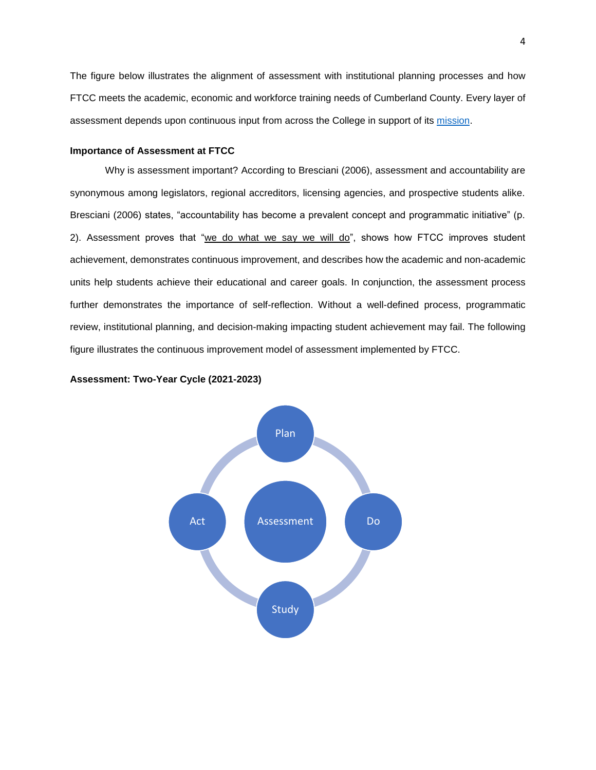The figure below illustrates the alignment of assessment with institutional planning processes and how FTCC meets the academic, economic and workforce training needs of Cumberland County. Every layer of assessment depends upon continuous input from across the College in support of its [mission.](https://www.faytechcc.edu/about-ftcc/#mission)

### <span id="page-3-0"></span>**Importance of Assessment at FTCC**

Why is assessment important? According to Bresciani (2006), assessment and accountability are synonymous among legislators, regional accreditors, licensing agencies, and prospective students alike. Bresciani (2006) states, "accountability has become a prevalent concept and programmatic initiative" (p. 2). Assessment proves that "we do what we say we will do", shows how FTCC improves student achievement, demonstrates continuous improvement, and describes how the academic and non-academic units help students achieve their educational and career goals. In conjunction, the assessment process further demonstrates the importance of self-reflection. Without a well-defined process, programmatic review, institutional planning, and decision-making impacting student achievement may fail. The following figure illustrates the continuous improvement model of assessment implemented by FTCC.

<span id="page-3-1"></span>

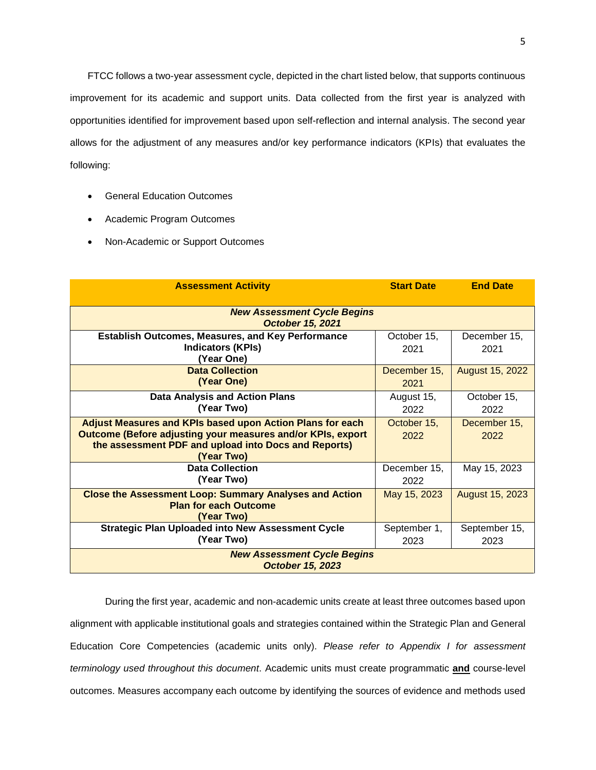FTCC follows a two-year assessment cycle, depicted in the chart listed below, that supports continuous improvement for its academic and support units. Data collected from the first year is analyzed with opportunities identified for improvement based upon self-reflection and internal analysis. The second year allows for the adjustment of any measures and/or key performance indicators (KPIs) that evaluates the following:

- General Education Outcomes
- Academic Program Outcomes
- Non-Academic or Support Outcomes

| <b>Assessment Activity</b>                                                                                                                                                                     | <b>Start Date</b>    | <b>End Date</b>        |  |
|------------------------------------------------------------------------------------------------------------------------------------------------------------------------------------------------|----------------------|------------------------|--|
| <b>New Assessment Cycle Begins</b><br><b>October 15, 2021</b>                                                                                                                                  |                      |                        |  |
| <b>Establish Outcomes, Measures, and Key Performance</b><br><b>Indicators (KPIs)</b><br>(Year One)                                                                                             | October 15,<br>2021  | December 15,<br>2021   |  |
| <b>Data Collection</b><br>(Year One)                                                                                                                                                           | December 15,<br>2021 | <b>August 15, 2022</b> |  |
| <b>Data Analysis and Action Plans</b><br>(Year Two)                                                                                                                                            | August 15,<br>2022   | October 15,<br>2022    |  |
| Adjust Measures and KPIs based upon Action Plans for each<br>Outcome (Before adjusting your measures and/or KPIs, export<br>the assessment PDF and upload into Docs and Reports)<br>(Year Two) | October 15,<br>2022  | December 15,<br>2022   |  |
| <b>Data Collection</b><br>(Year Two)                                                                                                                                                           | December 15,<br>2022 | May 15, 2023           |  |
| <b>Close the Assessment Loop: Summary Analyses and Action</b><br><b>Plan for each Outcome</b><br>(Year Two)                                                                                    | May 15, 2023         | August 15, 2023        |  |
| <b>Strategic Plan Uploaded into New Assessment Cycle</b><br>(Year Two)                                                                                                                         | September 1,<br>2023 | September 15,<br>2023  |  |
| <b>New Assessment Cycle Begins</b><br><b>October 15, 2023</b>                                                                                                                                  |                      |                        |  |

During the first year, academic and non-academic units create at least three outcomes based upon alignment with applicable institutional goals and strategies contained within the Strategic Plan and General Education Core Competencies (academic units only). *Please refer to Appendix I for assessment terminology used throughout this document*. Academic units must create programmatic **and** course-level outcomes. Measures accompany each outcome by identifying the sources of evidence and methods used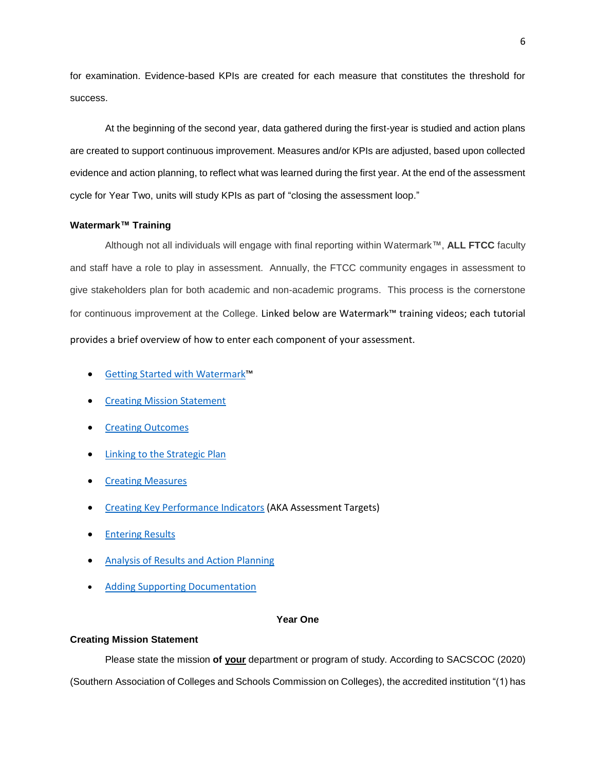for examination. Evidence-based KPIs are created for each measure that constitutes the threshold for success.

At the beginning of the second year, data gathered during the first-year is studied and action plans are created to support continuous improvement. Measures and/or KPIs are adjusted, based upon collected evidence and action planning, to reflect what was learned during the first year. At the end of the assessment cycle for Year Two, units will study KPIs as part of "closing the assessment loop."

### <span id="page-5-0"></span>**Watermark™ Training**

Although not all individuals will engage with final reporting within Watermark™, **ALL FTCC** faculty and staff have a role to play in assessment. Annually, the FTCC community engages in assessment to give stakeholders plan for both academic and non-academic programs. This process is the cornerstone for continuous improvement at the College. Linked below are Watermark™ training videos; each tutorial provides a brief overview of how to enter each component of your assessment.

- [Getting Started with Watermark](https://www.youtube.com/watch?v=PaEY9ODmnw4)™
- [Creating Mission Statement](https://www.youtube.com/watch?v=kGPdhIoNqbQ)
- **[Creating Outcomes](https://www.youtube.com/watch?v=e8YmPhpNCTs&t=53s)**
- [Linking to the Strategic Plan](https://www.youtube.com/watch?v=f2BvewOtu5Q)
- **[Creating Measures](https://www.youtube.com/watch?v=tneG825ZQ60)**
- [Creating Key Performance Indicators](https://www.youtube.com/watch?v=8EFOd3PBkCs) (AKA Assessment Targets)
- [Entering Results](https://www.youtube.com/watch?v=aghCkjReyBE)
- [Analysis of Results and Action Planning](https://www.youtube.com/watch?v=CqqNnN7746s)
- [Adding Supporting Documentation](https://www.youtube.com/watch?v=Os-6u5gJraM&t=25s)

### **Year One**

### <span id="page-5-2"></span><span id="page-5-1"></span>**Creating Mission Statement**

Please state the mission **of your** department or program of study. According to SACSCOC (2020) (Southern Association of Colleges and Schools Commission on Colleges), the accredited institution "(1) has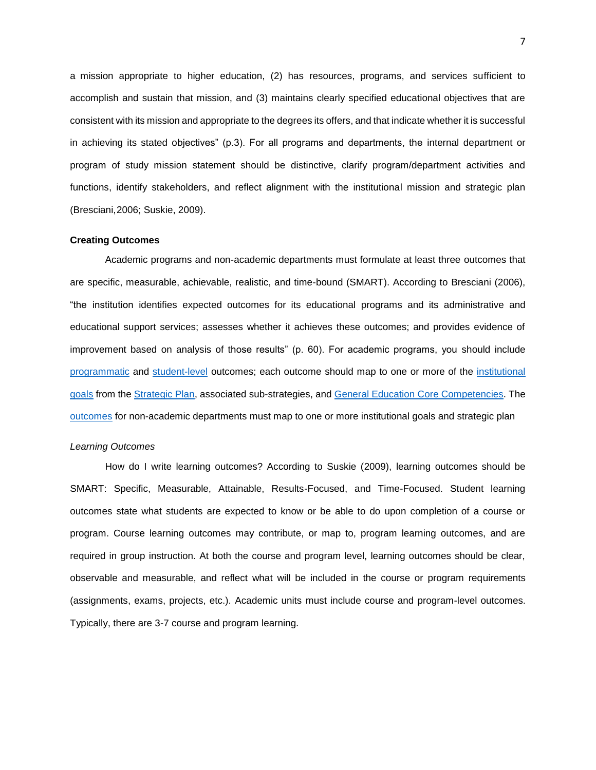a mission appropriate to higher education, (2) has resources, programs, and services sufficient to accomplish and sustain that mission, and (3) maintains clearly specified educational objectives that are consistent with its mission and appropriate to the degrees its offers, and that indicate whether it is successful in achieving its stated objectives" (p.3). For all programs and departments, the internal department or program of study mission statement should be distinctive, clarify program/department activities and functions, identify stakeholders, and reflect alignment with the institutional mission and strategic plan (Bresciani,2006; Suskie, 2009).

#### <span id="page-6-0"></span>**Creating Outcomes**

Academic programs and non-academic departments must formulate at least three outcomes that are specific, measurable, achievable, realistic, and time-bound (SMART). According to Bresciani (2006), "the institution identifies expected outcomes for its educational programs and its administrative and educational support services; assesses whether it achieves these outcomes; and provides evidence of improvement based on analysis of those results" (p. 60). For academic programs, you should include [programmatic](http://www.laspositascollege.edu/slo/program.php) and [student-level](http://www.laspositascollege.edu/slo/assets/docs/2019-20/slos8.20.2019.pdf) outcomes; each outcome should map to one or more of the [institutional](https://www.faytechcc.edu/about-ftcc/#goals)  [goals](https://www.faytechcc.edu/about-ftcc/#goals) from the [Strategic Plan,](https://www2.faytechcc.edu/IEADocs/FTCCStrategicPlan.pdf) associated sub-strategies, and [General Education Core Competencies.](https://www2.faytechcc.edu/HandbooksManuals/FTCCPlanningGuide.pdf#page=84) The [outcomes](https://oira.unc.edu/wp-content/uploads/sites/297/2018/10/Assessment-for-Non-Academic-Unit.pdf) for non-academic departments must map to one or more institutional goals and strategic plan

#### <span id="page-6-1"></span>*Learning Outcomes*

How do I write learning outcomes? According to Suskie (2009), learning outcomes should be SMART: Specific, Measurable, Attainable, Results-Focused, and Time-Focused. Student learning outcomes state what students are expected to know or be able to do upon completion of a course or program. Course learning outcomes may contribute, or map to, program learning outcomes, and are required in group instruction. At both the course and program level, learning outcomes should be clear, observable and measurable, and reflect what will be included in the course or program requirements (assignments, exams, projects, etc.). Academic units must include course and program-level outcomes. Typically, there are 3-7 course and program learning.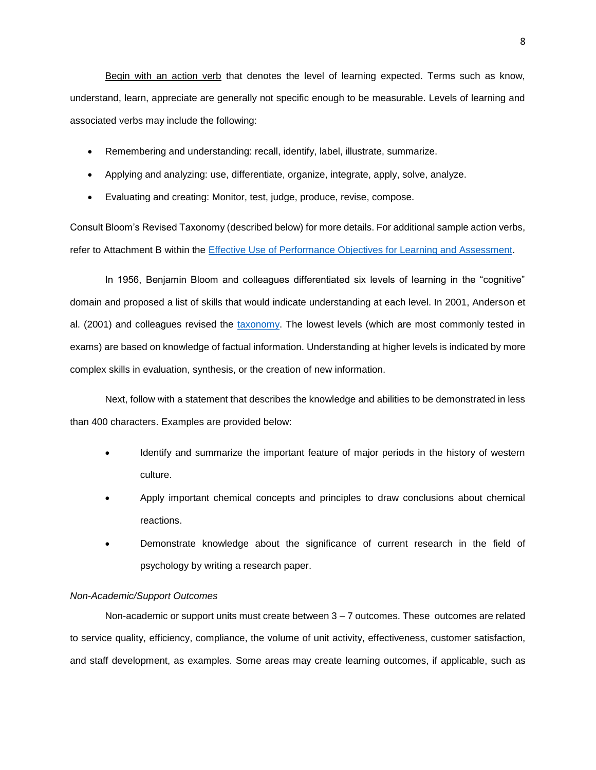Begin with an action verb that denotes the level of learning expected. Terms such as know, understand, learn, appreciate are generally not specific enough to be measurable. Levels of learning and associated verbs may include the following:

- Remembering and understanding: recall, identify, label, illustrate, summarize.
- Applying and analyzing: use, differentiate, organize, integrate, apply, solve, analyze.
- Evaluating and creating: Monitor, test, judge, produce, revise, compose.

Consult Bloom's Revised Taxonomy (described below) for more details. For additional sample action verbs, refer to Attachment B within the [Effective Use of Performance Objectives for Learning and Assessment.](https://wit.edu/sites/default/files/2020-10/Effective-Use-of-Learning-Objectives-University-of-New-Mexico.pdf)

In 1956, Benjamin Bloom and colleagues differentiated six levels of learning in the "cognitive" domain and proposed a list of skills that would indicate understanding at each level. In 2001, Anderson et al. (2001) and colleagues revised the [taxonomy.](https://cft.vanderbilt.edu/guides-sub-pages/blooms-taxonomy/) The lowest levels (which are most commonly tested in exams) are based on knowledge of factual information. Understanding at higher levels is indicated by more complex skills in evaluation, synthesis, or the creation of new information.

Next, follow with a statement that describes the knowledge and abilities to be demonstrated in less than 400 characters. Examples are provided below:

- Identify and summarize the important feature of major periods in the history of western culture.
- Apply important chemical concepts and principles to draw conclusions about chemical reactions.
- Demonstrate knowledge about the significance of current research in the field of psychology by writing a research paper.

### <span id="page-7-0"></span>*Non-Academic/Support Outcomes*

Non-academic or support units must create between 3 – 7 outcomes. These outcomes are related to service quality, efficiency, compliance, the volume of unit activity, effectiveness, customer satisfaction, and staff development, as examples. Some areas may create learning outcomes, if applicable, such as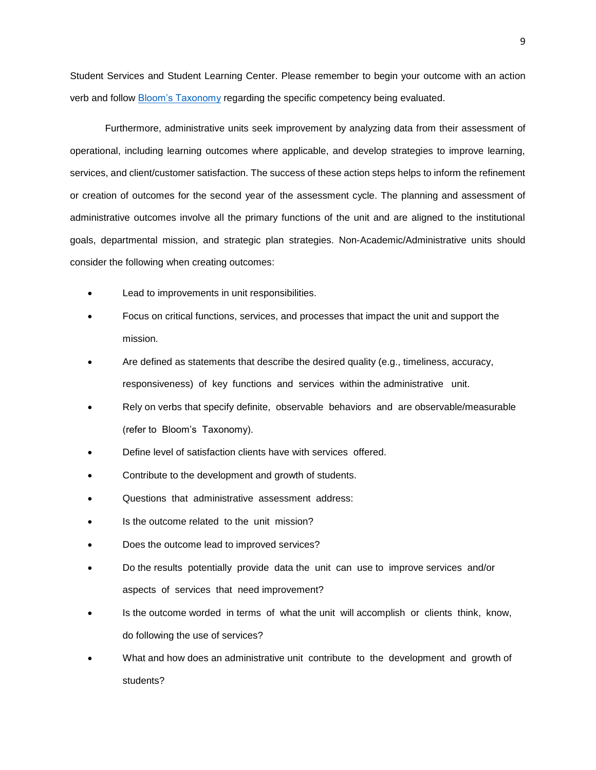Student Services and Student Learning Center. Please remember to begin your outcome with an action verb and follow [Bloom's Taxonomy](https://cft.vanderbilt.edu/guides-sub-pages/blooms-taxonomy/) regarding the specific competency being evaluated.

Furthermore, administrative units seek improvement by analyzing data from their assessment of operational, including learning outcomes where applicable, and develop strategies to improve learning, services, and client/customer satisfaction. The success of these action steps helps to inform the refinement or creation of outcomes for the second year of the assessment cycle. The planning and assessment of administrative outcomes involve all the primary functions of the unit and are aligned to the institutional goals, departmental mission, and strategic plan strategies. Non-Academic/Administrative units should consider the following when creating outcomes:

- Lead to improvements in unit responsibilities.
- Focus on critical functions, services, and processes that impact the unit and support the mission.
- Are defined as statements that describe the desired quality (e.g., timeliness, accuracy, responsiveness) of key functions and services within the administrative unit.
- Rely on verbs that specify definite, observable behaviors and are observable/measurable (refer to Bloom's Taxonomy).
- Define level of satisfaction clients have with services offered.
- Contribute to the development and growth of students.
- Questions that administrative assessment address:
- Is the outcome related to the unit mission?
- Does the outcome lead to improved services?
- Do the results potentially provide data the unit can use to improve services and/or aspects of services that need improvement?
- Is the outcome worded in terms of what the unit will accomplish or clients think, know, do following the use of services?
- What and how does an administrative unit contribute to the development and growth of students?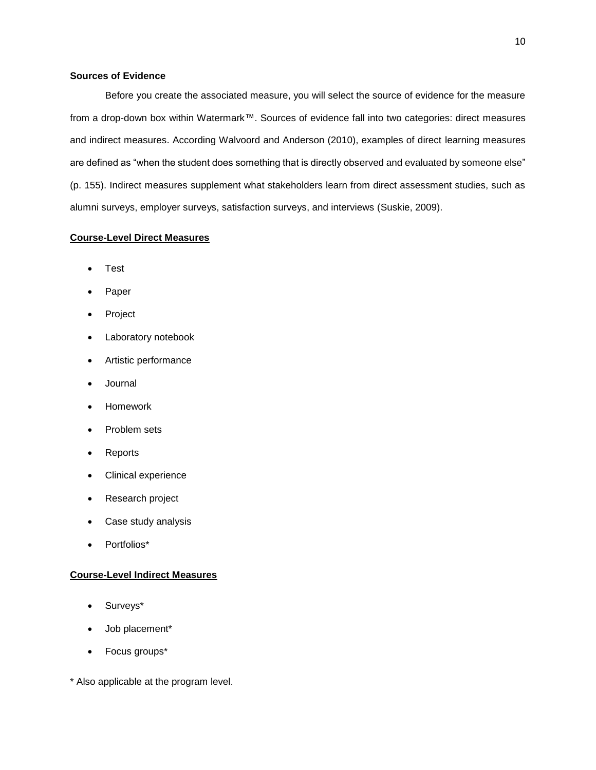### <span id="page-9-0"></span>**Sources of Evidence**

Before you create the associated measure, you will select the source of evidence for the measure from a drop-down box within Watermark™. Sources of evidence fall into two categories: direct measures and indirect measures. According Walvoord and Anderson (2010), examples of direct learning measures are defined as "when the student does something that is directly observed and evaluated by someone else" (p. 155). Indirect measures supplement what stakeholders learn from direct assessment studies, such as alumni surveys, employer surveys, satisfaction surveys, and interviews (Suskie, 2009).

### **Course-Level Direct Measures**

- **Test**
- **Paper**
- Project
- Laboratory notebook
- Artistic performance
- Journal
- Homework
- Problem sets
- Reports
- Clinical experience
- Research project
- Case study analysis
- Portfolios\*

### **Course-Level Indirect Measures**

- Surveys\*
- Job placement\*
- Focus groups\*

\* Also applicable at the program level.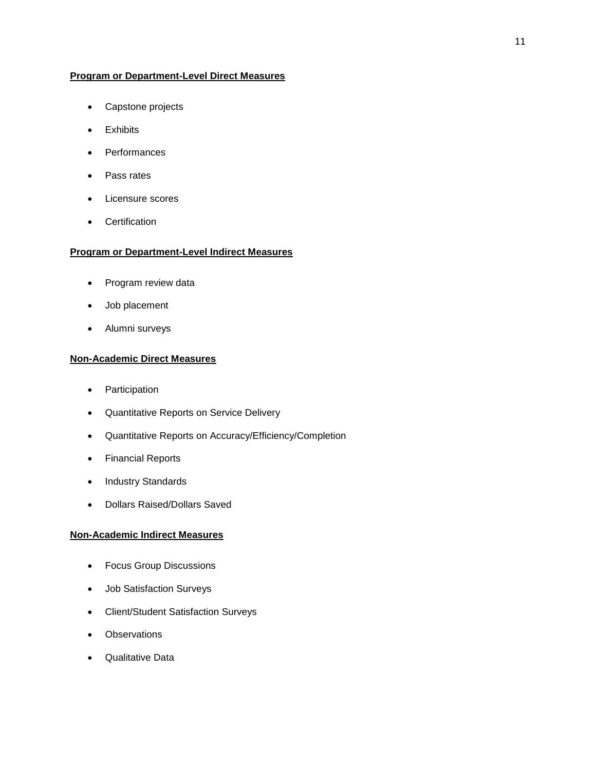### **Program or Department-Level Direct Measures**

- Capstone projects
- Exhibits
- Performances
- Pass rates
- Licensure scores
- Certification

# **Program or Department-Level Indirect Measures**

- Program review data
- Job placement
- Alumni surveys

### **Non-Academic Direct Measures**

- Participation
- Quantitative Reports on Service Delivery
- Quantitative Reports on Accuracy/Efficiency/Completion
- Financial Reports
- Industry Standards
- Dollars Raised/Dollars Saved

# **Non-Academic Indirect Measures**

- Focus Group Discussions
- Job Satisfaction Surveys
- Client/Student Satisfaction Surveys
- Observations
- Qualitative Data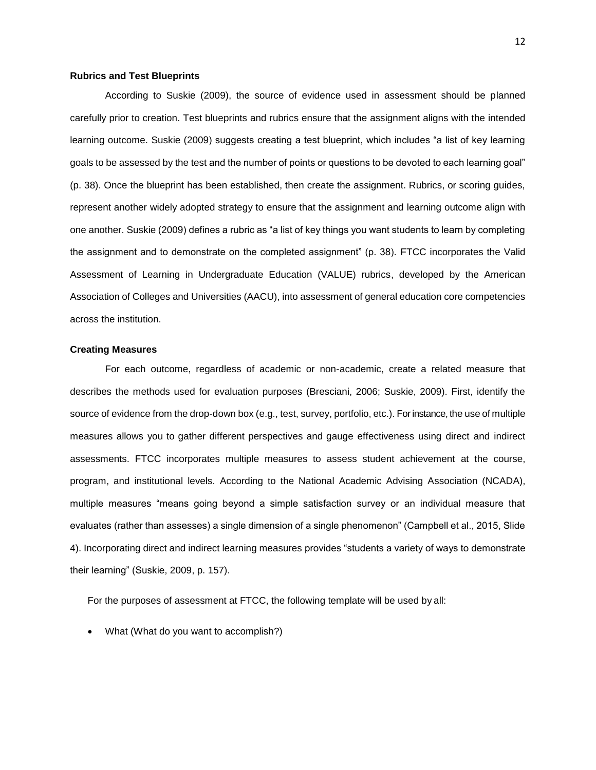#### <span id="page-11-0"></span>**Rubrics and Test Blueprints**

According to Suskie (2009), the source of evidence used in assessment should be planned carefully prior to creation. Test blueprints and rubrics ensure that the assignment aligns with the intended learning outcome. Suskie (2009) suggests creating a test blueprint, which includes "a list of key learning goals to be assessed by the test and the number of points or questions to be devoted to each learning goal" (p. 38). Once the blueprint has been established, then create the assignment. Rubrics, or scoring guides, represent another widely adopted strategy to ensure that the assignment and learning outcome align with one another. Suskie (2009) defines a rubric as "a list of key things you want students to learn by completing the assignment and to demonstrate on the completed assignment" (p. 38). FTCC incorporates the Valid Assessment of Learning in Undergraduate Education (VALUE) rubrics, developed by the American Association of Colleges and Universities (AACU), into assessment of general education core competencies across the institution.

#### <span id="page-11-1"></span>**Creating Measures**

For each outcome, regardless of academic or non-academic, create a related measure that describes the methods used for evaluation purposes (Bresciani, 2006; Suskie, 2009). First, identify the source of evidence from the drop-down box (e.g., test, survey, portfolio, etc.). For instance, the use of multiple measures allows you to gather different perspectives and gauge effectiveness using direct and indirect assessments. FTCC incorporates multiple measures to assess student achievement at the course, program, and institutional levels. According to the National Academic Advising Association (NCADA), multiple measures "means going beyond a simple satisfaction survey or an individual measure that evaluates (rather than assesses) a single dimension of a single phenomenon" (Campbell et al., 2015, Slide 4). Incorporating direct and indirect learning measures provides "students a variety of ways to demonstrate their learning" (Suskie, 2009, p. 157).

For the purposes of assessment at FTCC, the following template will be used by all:

• What (What do you want to accomplish?)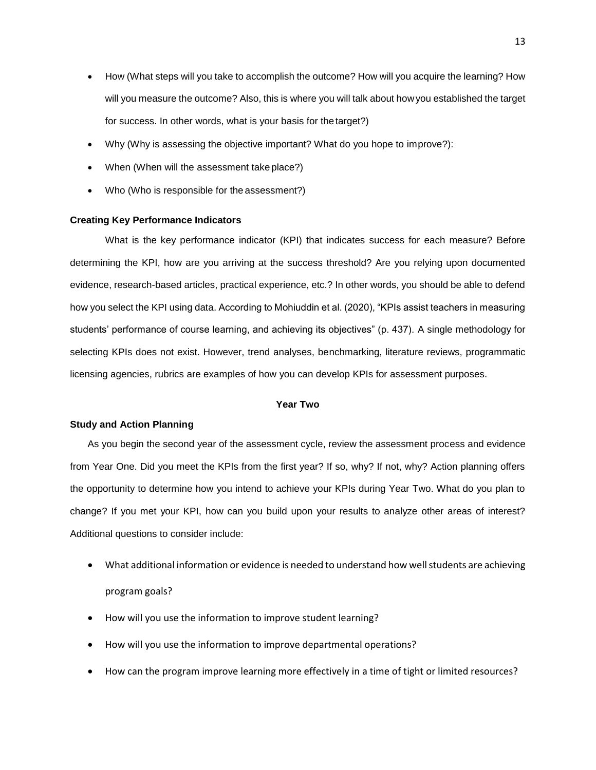- How (What steps will you take to accomplish the outcome? How will you acquire the learning? How will you measure the outcome? Also, this is where you will talk about howyou established the target for success. In other words, what is your basis for thetarget?)
- Why (Why is assessing the objective important? What do you hope to improve?):
- When (When will the assessment take place?)
- Who (Who is responsible for the assessment?)

### <span id="page-12-0"></span>**Creating Key Performance Indicators**

What is the key performance indicator (KPI) that indicates success for each measure? Before determining the KPI, how are you arriving at the success threshold? Are you relying upon documented evidence, research-based articles, practical experience, etc.? In other words, you should be able to defend how you select the KPI using data. According to Mohiuddin et al. (2020), "KPIs assist teachers in measuring students' performance of course learning, and achieving its objectives" (p. 437). A single methodology for selecting KPIs does not exist. However, trend analyses, benchmarking, literature reviews, programmatic licensing agencies, rubrics are examples of how you can develop KPIs for assessment purposes.

#### **Year Two**

### <span id="page-12-2"></span><span id="page-12-1"></span>**Study and Action Planning**

As you begin the second year of the assessment cycle, review the assessment process and evidence from Year One. Did you meet the KPIs from the first year? If so, why? If not, why? Action planning offers the opportunity to determine how you intend to achieve your KPIs during Year Two. What do you plan to change? If you met your KPI, how can you build upon your results to analyze other areas of interest? Additional questions to consider include:

- What additional information or evidence is needed to understand how well students are achieving program goals?
- How will you use the information to improve student learning?
- How will you use the information to improve departmental operations?
- How can the program improve learning more effectively in a time of tight or limited resources?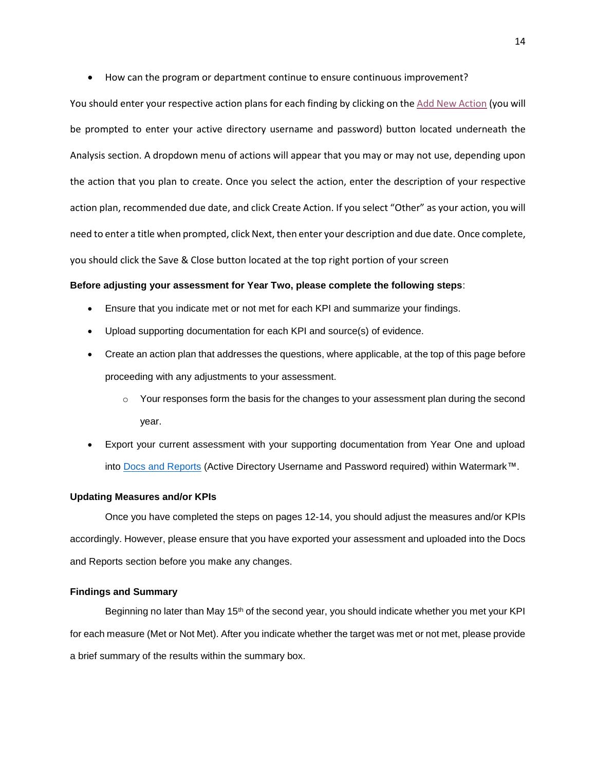• How can the program or department continue to ensure continuous improvement?

You should enter your respective action plans for each finding by clicking on th[e Add New Action](https://faytech-my.sharepoint.com/:b:/g/personal/castanov6404_ad_faytechcc_edu/Ee-9-xAZsV5IhYL4oI5a46EBfLq0I_cPqRKMAcEyM3-1eA?e=zUo2WH) (you will be prompted to enter your active directory username and password) button located underneath the Analysis section. A dropdown menu of actions will appear that you may or may not use, depending upon the action that you plan to create. Once you select the action, enter the description of your respective action plan, recommended due date, and click Create Action. If you select "Other" as your action, you will need to enter a title when prompted, click Next, then enter your description and due date. Once complete, you should click the Save & Close button located at the top right portion of your screen

### **Before adjusting your assessment for Year Two, please complete the following steps**:

- Ensure that you indicate met or not met for each KPI and summarize your findings.
- Upload supporting documentation for each KPI and source(s) of evidence.
- Create an action plan that addresses the questions, where applicable, at the top of this page before proceeding with any adjustments to your assessment.
	- $\circ$  Your responses form the basis for the changes to your assessment plan during the second year.
- Export your current assessment with your supporting documentation from Year One and upload into [Docs and Reports](https://faytech-my.sharepoint.com/:b:/g/personal/castanov6404_ad_faytechcc_edu/EUsjk8SLFrlGhwq92SN4IZIBVDzYPb69WDs3ngmKrvhPWg?e=18IPI8) (Active Directory Username and Password required) within Watermark™.

### <span id="page-13-0"></span>**Updating Measures and/or KPIs**

Once you have completed the steps on pages 12-14, you should adjust the measures and/or KPIs accordingly. However, please ensure that you have exported your assessment and uploaded into the Docs and Reports section before you make any changes.

#### <span id="page-13-1"></span>**Findings and Summary**

Beginning no later than May 15<sup>th</sup> of the second year, you should indicate whether you met your KPI for each measure (Met or Not Met). After you indicate whether the target was met or not met, please provide a brief summary of the results within the summary box.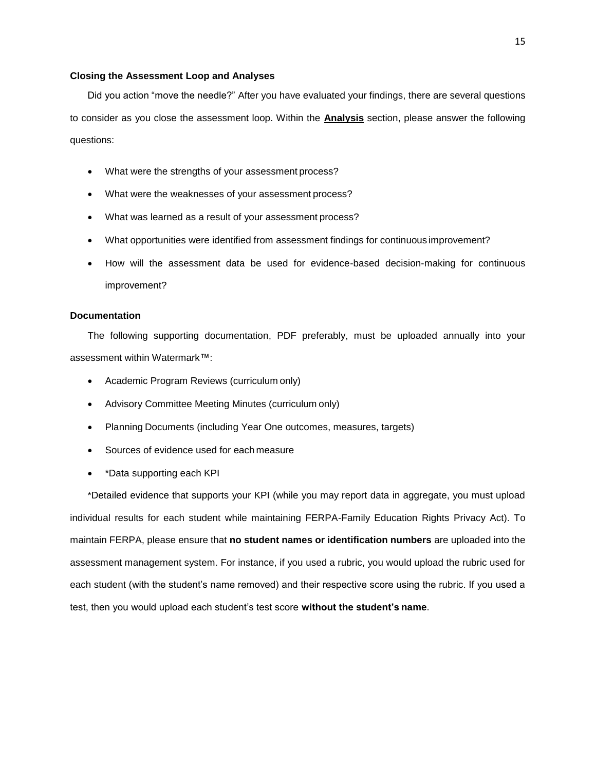### <span id="page-14-0"></span>**Closing the Assessment Loop and Analyses**

Did you action "move the needle?" After you have evaluated your findings, there are several questions to consider as you close the assessment loop. Within the **Analysis** section, please answer the following questions:

- What were the strengths of your assessment process?
- What were the weaknesses of your assessment process?
- What was learned as a result of your assessment process?
- What opportunities were identified from assessment findings for continuous improvement?
- How will the assessment data be used for evidence-based decision-making for continuous improvement?

### <span id="page-14-1"></span>**Documentation**

The following supporting documentation, PDF preferably, must be uploaded annually into your assessment within Watermark™:

- Academic Program Reviews (curriculum only)
- Advisory Committee Meeting Minutes (curriculum only)
- Planning Documents (including Year One outcomes, measures, targets)
- Sources of evidence used for each measure
- \*Data supporting each KPI

\*Detailed evidence that supports your KPI (while you may report data in aggregate, you must upload individual results for each student while maintaining FERPA-Family Education Rights Privacy Act). To maintain FERPA, please ensure that **no student names or identification numbers** are uploaded into the assessment management system. For instance, if you used a rubric, you would upload the rubric used for each student (with the student's name removed) and their respective score using the rubric. If you used a test, then you would upload each student's test score **without the student's name**.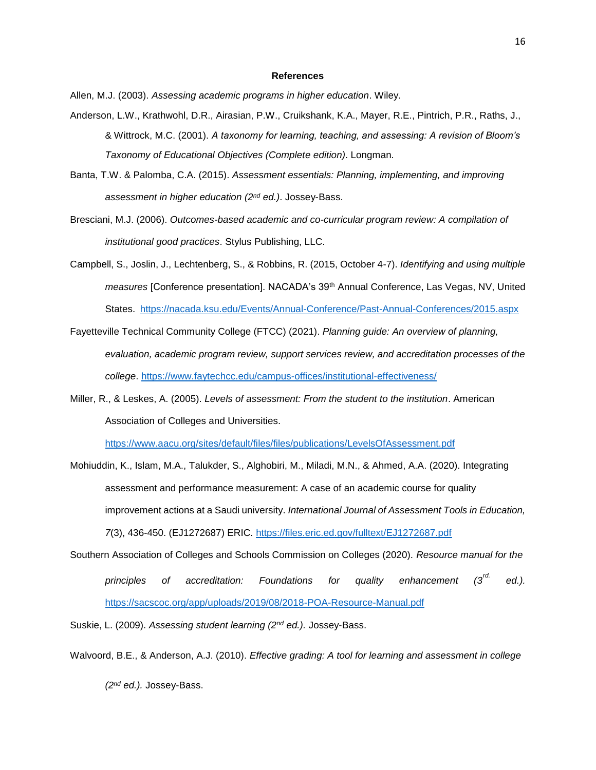#### **References**

<span id="page-15-0"></span>Allen, M.J. (2003). *Assessing academic programs in higher education*. Wiley.

- Anderson, L.W., Krathwohl, D.R., Airasian, P.W., Cruikshank, K.A., Mayer, R.E., Pintrich, P.R., Raths, J., & Wittrock, M.C. (2001). *A taxonomy for learning, teaching, and assessing: A revision of Bloom's Taxonomy of Educational Objectives (Complete edition)*. Longman.
- Banta, T.W. & Palomba, C.A. (2015). *Assessment essentials: Planning, implementing, and improving assessment in higher education (2nd ed.)*. Jossey-Bass.
- Bresciani, M.J. (2006). *Outcomes-based academic and co-curricular program review: A compilation of institutional good practices*. Stylus Publishing, LLC.
- Campbell, S., Joslin, J., Lechtenberg, S., & Robbins, R. (2015, October 4-7). *Identifying and using multiple measures* [Conference presentation]. NACADA's 39th Annual Conference, Las Vegas, NV, United States. <https://nacada.ksu.edu/Events/Annual-Conference/Past-Annual-Conferences/2015.aspx>
- Fayetteville Technical Community College (FTCC) (2021). *Planning guide: An overview of planning, evaluation, academic program review, support services review, and accreditation processes of the college*.<https://www.faytechcc.edu/campus-offices/institutional-effectiveness/>
- Miller, R., & Leskes, A. (2005). *Levels of assessment: From the student to the institution*. American Association of Colleges and Universities.

<https://www.aacu.org/sites/default/files/files/publications/LevelsOfAssessment.pdf>

- Mohiuddin, K., Islam, M.A., Talukder, S., Alghobiri, M., Miladi, M.N., & Ahmed, A.A. (2020). Integrating assessment and performance measurement: A case of an academic course for quality improvement actions at a Saudi university. *International Journal of Assessment Tools in Education, 7*(3), 436-450. (EJ1272687) ERIC.<https://files.eric.ed.gov/fulltext/EJ1272687.pdf>
- Southern Association of Colleges and Schools Commission on Colleges (2020). *Resource manual for the principles of accreditation: Foundations for quality enhancement (3rd. ed.).* <https://sacscoc.org/app/uploads/2019/08/2018-POA-Resource-Manual.pdf>

Suskie, L. (2009). *Assessing student learning (2nd ed.).* Jossey-Bass.

Walvoord, B.E., & Anderson, A.J. (2010). *Effective grading: A tool for learning and assessment in college*

*(2nd ed.).* Jossey-Bass.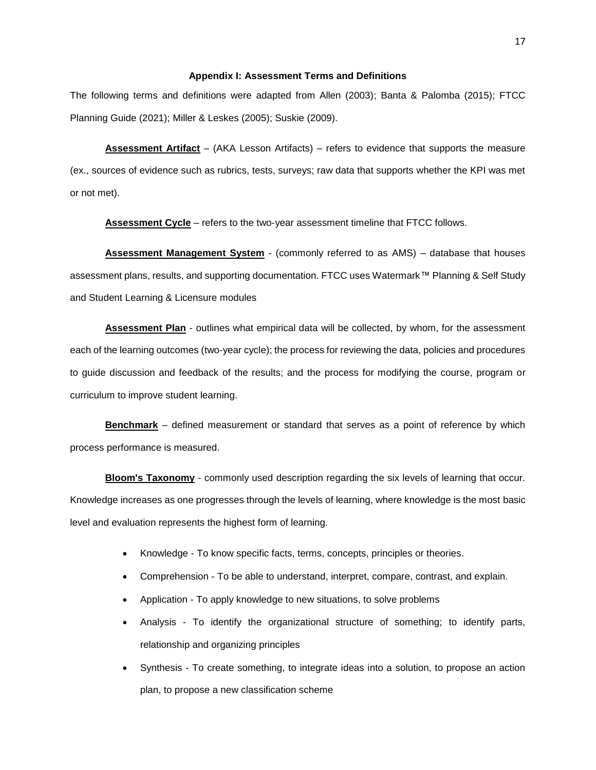#### **Appendix I: Assessment Terms and Definitions**

<span id="page-16-0"></span>The following terms and definitions were adapted from Allen (2003); Banta & Palomba (2015); FTCC Planning Guide (2021); Miller & Leskes (2005); Suskie (2009).

**Assessment Artifact** – (AKA Lesson Artifacts) – refers to evidence that supports the measure (ex., sources of evidence such as rubrics, tests, surveys; raw data that supports whether the KPI was met or not met).

**Assessment Cycle** – refers to the two-year assessment timeline that FTCC follows.

**Assessment Management System** - (commonly referred to as AMS) – database that houses assessment plans, results, and supporting documentation. FTCC uses Watermark™ Planning & Self Study and Student Learning & Licensure modules

**Assessment Plan** - outlines what empirical data will be collected, by whom, for the assessment each of the learning outcomes (two-year cycle); the process for reviewing the data, policies and procedures to guide discussion and feedback of the results; and the process for modifying the course, program or curriculum to improve student learning.

**Benchmark** – defined measurement or standard that serves as a point of reference by which process performance is measured.

**Bloom's Taxonomy** - commonly used description regarding the six levels of learning that occur. Knowledge increases as one progresses through the levels of learning, where knowledge is the most basic level and evaluation represents the highest form of learning.

- Knowledge To know specific facts, terms, concepts, principles or theories.
- Comprehension To be able to understand, interpret, compare, contrast, and explain.
- Application To apply knowledge to new situations, to solve problems
- Analysis To identify the organizational structure of something; to identify parts, relationship and organizing principles
- Synthesis To create something, to integrate ideas into a solution, to propose an action plan, to propose a new classification scheme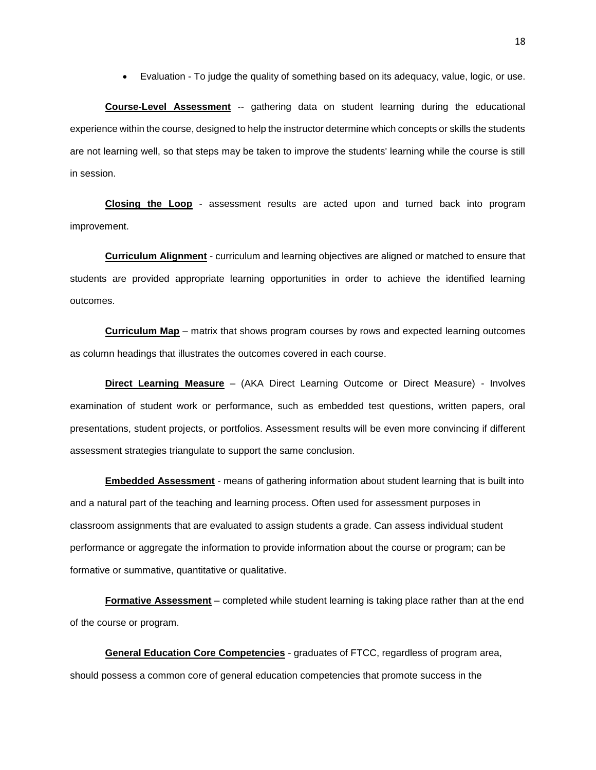• Evaluation - To judge the quality of something based on its adequacy, value, logic, or use.

**Course-Level Assessment** -- gathering data on student learning during the educational experience within the course, designed to help the instructor determine which concepts or skills the students are not learning well, so that steps may be taken to improve the students' learning while the course is still in session.

**Closing the Loop** - assessment results are acted upon and turned back into program improvement.

**Curriculum Alignment** - curriculum and learning objectives are aligned or matched to ensure that students are provided appropriate learning opportunities in order to achieve the identified learning outcomes.

**Curriculum Map** – matrix that shows program courses by rows and expected learning outcomes as column headings that illustrates the outcomes covered in each course.

**Direct Learning Measure** – (AKA Direct Learning Outcome or Direct Measure) - Involves examination of student work or performance, such as embedded test questions, written papers, oral presentations, student projects, or portfolios. Assessment results will be even more convincing if different assessment strategies triangulate to support the same conclusion.

**Embedded Assessment** - means of gathering information about student learning that is built into and a natural part of the teaching and learning process. Often used for assessment purposes in classroom assignments that are evaluated to assign students a grade. Can assess individual student performance or aggregate the information to provide information about the course or program; can be formative or summative, quantitative or qualitative.

**Formative Assessment** – completed while student learning is taking place rather than at the end of the course or program.

**General Education Core Competencies** - graduates of FTCC, regardless of program area, should possess a common core of general education competencies that promote success in the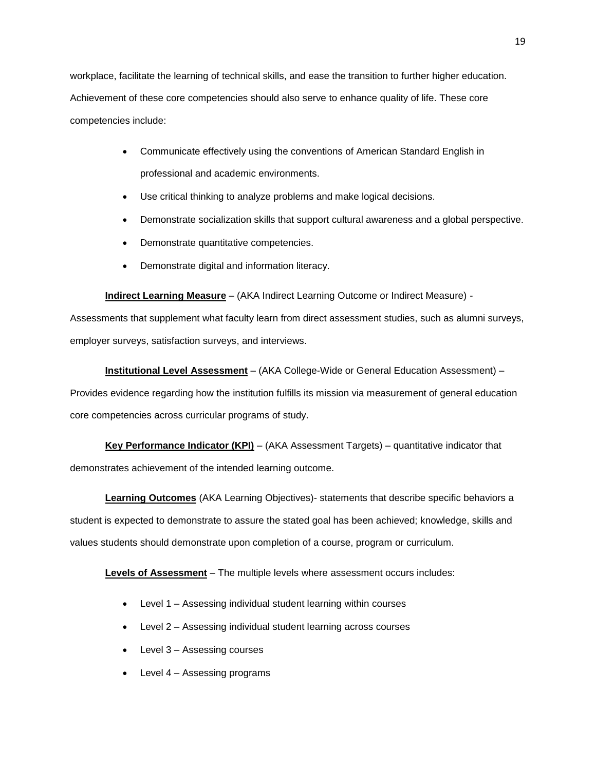workplace, facilitate the learning of technical skills, and ease the transition to further higher education. Achievement of these core competencies should also serve to enhance quality of life. These core competencies include:

- Communicate effectively using the conventions of American Standard English in professional and academic environments.
- Use critical thinking to analyze problems and make logical decisions.
- Demonstrate socialization skills that support cultural awareness and a global perspective.
- Demonstrate quantitative competencies.
- Demonstrate digital and information literacy.

**Indirect Learning Measure** – (AKA Indirect Learning Outcome or Indirect Measure) -

Assessments that supplement what faculty learn from direct assessment studies, such as alumni surveys, employer surveys, satisfaction surveys, and interviews.

**Institutional Level Assessment** – (AKA College-Wide or General Education Assessment) –

Provides evidence regarding how the institution fulfills its mission via measurement of general education core competencies across curricular programs of study.

**Key Performance Indicator (KPI)** – (AKA Assessment Targets) – quantitative indicator that demonstrates achievement of the intended learning outcome.

**Learning Outcomes** (AKA Learning Objectives)- statements that describe specific behaviors a student is expected to demonstrate to assure the stated goal has been achieved; knowledge, skills and values students should demonstrate upon completion of a course, program or curriculum.

**Levels of Assessment** – The multiple levels where assessment occurs includes:

- Level 1 Assessing individual student learning within courses
- Level 2 Assessing individual student learning across courses
- Level 3 Assessing courses
- Level 4 Assessing programs